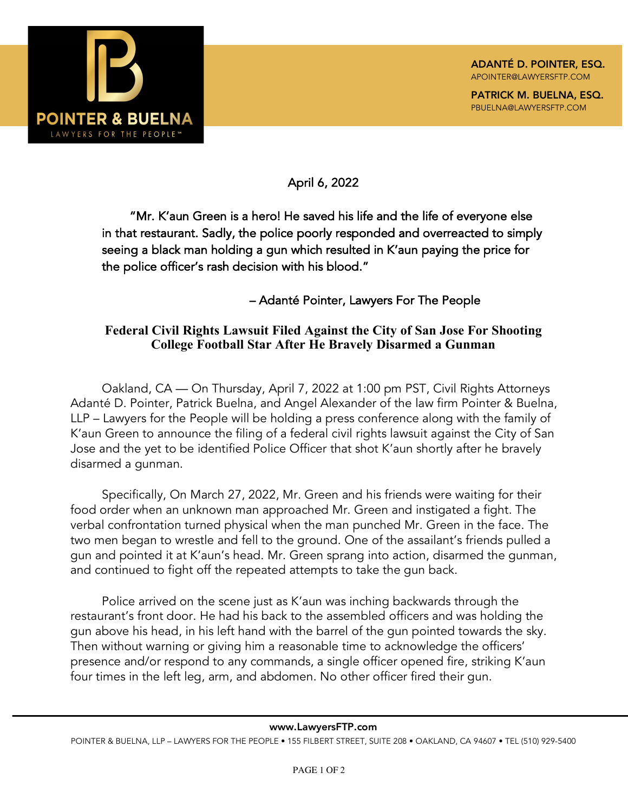

April 6, 2022

"Mr. K'aun Green is a hero! He saved his life and the life of everyone else in that restaurant. Sadly, the police poorly responded and overreacted to simply seeing a black man holding a gun which resulted in K'aun paying the price for the police officer's rash decision with his blood."

– Adanté Pointer, Lawyers For The People

## **Federal Civil Rights Lawsuit Filed Against the City of San Jose For Shooting College Football Star After He Bravely Disarmed a Gunman**

Oakland, CA — On Thursday, April 7, 2022 at 1:00 pm PST, Civil Rights Attorneys Adanté D. Pointer, Patrick Buelna, and Angel Alexander of the law firm Pointer & Buelna, LLP – Lawyers for the People will be holding a press conference along with the family of K'aun Green to announce the filing of a federal civil rights lawsuit against the City of San Jose and the yet to be identified Police Officer that shot K'aun shortly after he bravely disarmed a gunman.

Specifically, On March 27, 2022, Mr. Green and his friends were waiting for their food order when an unknown man approached Mr. Green and instigated a fight. The verbal confrontation turned physical when the man punched Mr. Green in the face. The two men began to wrestle and fell to the ground. One of the assailant's friends pulled a gun and pointed it at K'aun's head. Mr. Green sprang into action, disarmed the gunman, and continued to fight off the repeated attempts to take the gun back.

Police arrived on the scene just as K'aun was inching backwards through the restaurant's front door. He had his back to the assembled officers and was holding the gun above his head, in his left hand with the barrel of the gun pointed towards the sky. Then without warning or giving him a reasonable time to acknowledge the officers' presence and/or respond to any commands, a single officer opened fire, striking K'aun four times in the left leg, arm, and abdomen. No other officer fired their gun.

## www.LawyersFTP.com

POINTER & BUELNA, LLP – LAWYERS FOR THE PEOPLE • 155 FILBERT STREET, SUITE 208 • OAKLAND, CA 94607 • TEL (510) 929-5400